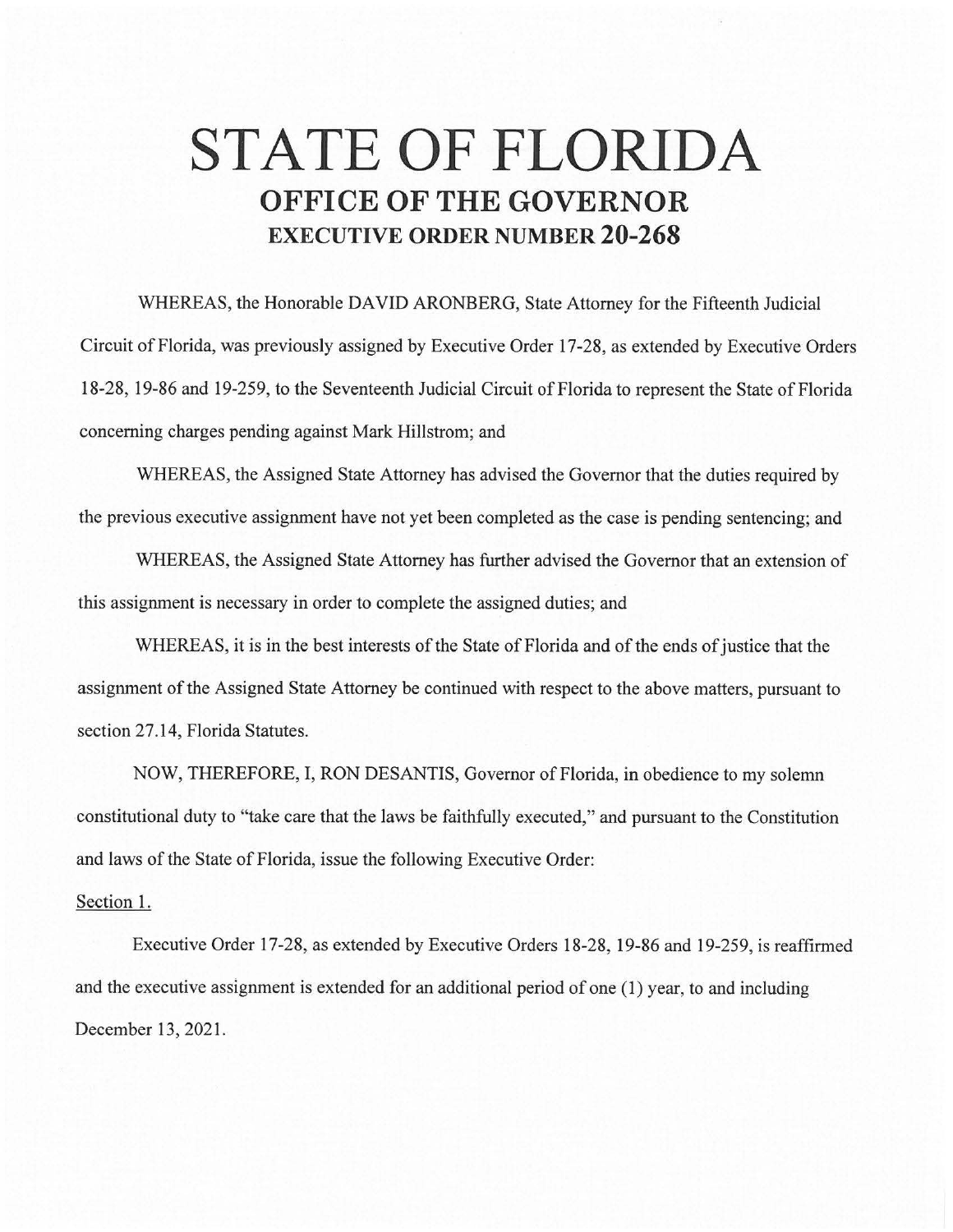## **STATE OF FLORIDA OFFICE OF THE GOVERNOR EXECUTIVE ORDER NUMBER 20-268**

WHEREAS, the Honorable DAVID ARONBERG, State Attorney for the Fifteenth Judicial Circuit of Florida, was previously assigned by Executive Order 17-28, as extended by Executive Orders 18-28, 19-86 and 19-259, to the Seventeenth Judicial Circuit of Florida to represent the State of Florida concerning charges pending against Mark Hillstrom; and

WHEREAS, the Assigned State Attorney has advised the Governor that the duties required by the previous executive assignment have not yet been completed as the case is pending sentencing; and

WHEREAS, the Assigned State Attorney has further advised the Governor that an extension of this assignment is necessary in order to complete the assigned duties; and

WHEREAS, it is in the best interests of the State of Florida and of the ends of justice that the assignment of the Assigned State Attorney be continued with respect to the above matters, pursuant to section 27.14, Florida Statutes.

NOW, THEREFORE, I, RON DESANTIS, Governor of Florida, in obedience to my solemn constitutional duty to "take care that the laws be faithfully executed," and pursuant to the Constitution and laws of the State of Florida, issue the following Executive Order:

## Section 1.

Executive Order 17-28, as extended by Executive Orders 18-28, 19-86 and 19-259, is reaffirmed and the executive assignment is extended for an additional period of one (1) year, to and including December 13, 2021.